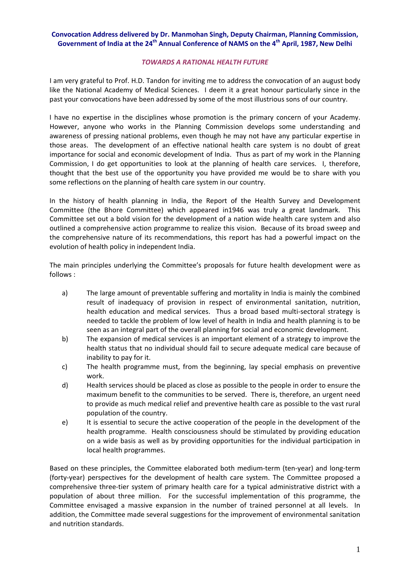## **Convocation Address delivered by Dr. Manmohan Singh, Deputy Chairman, Planning Commission, Government of India at the 24th Annual Conference of NAMS on the 4th April, 1987, New Delhi**

## *TOWARDS A RATIONAL HEALTH FUTURE*

I am very grateful to Prof. H.D. Tandon for inviting me to address the convocation of an august body like the National Academy of Medical Sciences. I deem it a great honour particularly since in the past your convocations have been addressed by some of the most illustrious sons of our country.

I have no expertise in the disciplines whose promotion is the primary concern of your Academy. However, anyone who works in the Planning Commission develops some understanding and awareness of pressing national problems, even though he may not have any particular expertise in those areas. The development of an effective national health care system is no doubt of great importance for social and economic development of India. Thus as part of my work in the Planning Commission, I do get opportunities to look at the planning of health care services. I, therefore, thought that the best use of the opportunity you have provided me would be to share with you some reflections on the planning of health care system in our country.

In the history of health planning in India, the Report of the Health Survey and Development Committee (the Bhore Committee) which appeared in1946 was truly a great landmark. This Committee set out a bold vision for the development of a nation wide health care system and also outlined a comprehensive action programme to realize this vision. Because of its broad sweep and the comprehensive nature of its recommendations, this report has had a powerful impact on the evolution of health policy in independent India.

The main principles underlying the Committee's proposals for future health development were as follows :

- a) The large amount of preventable suffering and mortality in India is mainly the combined result of inadequacy of provision in respect of environmental sanitation, nutrition, health education and medical services. Thus a broad based multi-sectoral strategy is needed to tackle the problem of low level of health in India and health planning is to be seen as an integral part of the overall planning for social and economic development.
- b) The expansion of medical services is an important element of a strategy to improve the health status that no individual should fail to secure adequate medical care because of inability to pay for it.
- c) The health programme must, from the beginning, lay special emphasis on preventive work.
- d) Health services should be placed as close as possible to the people in order to ensure the maximum benefit to the communities to be served. There is, therefore, an urgent need to provide as much medical relief and preventive health care as possible to the vast rural population of the country.
- e) It is essential to secure the active cooperation of the people in the development of the health programme. Health consciousness should be stimulated by providing education on a wide basis as well as by providing opportunities for the individual participation in local health programmes.

Based on these principles, the Committee elaborated both medium-term (ten-year) and long-term (forty‐year) perspectives for the development of health care system. The Committee proposed a comprehensive three-tier system of primary health care for a typical administrative district with a population of about three million. For the successful implementation of this programme, the Committee envisaged a massive expansion in the number of trained personnel at all levels. In addition, the Committee made several suggestions for the improvement of environmental sanitation and nutrition standards.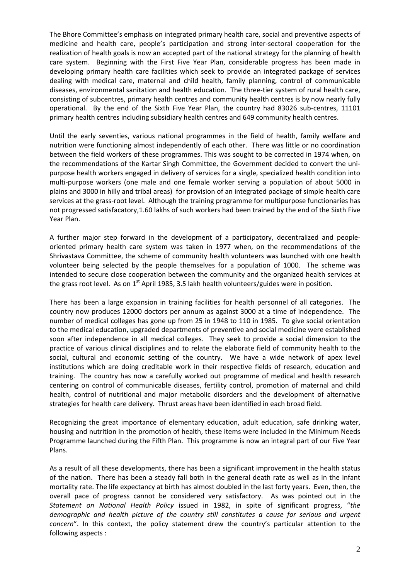The Bhore Committee's emphasis on integrated primary health care, social and preventive aspects of medicine and health care, people's participation and strong inter‐sectoral cooperation for the realization of health goals is now an accepted part of the national strategy for the planning of health care system. Beginning with the First Five Year Plan, considerable progress has been made in developing primary health care facilities which seek to provide an integrated package of services dealing with medical care, maternal and child health, family planning, control of communicable diseases, environmental sanitation and health education. The three‐tier system of rural health care, consisting of subcentres, primary health centres and community health centres is by now nearly fully operational. By the end of the Sixth Five Year Plan, the country had 83026 sub-centres, 11101 primary health centres including subsidiary health centres and 649 community health centres.

Until the early seventies, various national programmes in the field of health, family welfare and nutrition were functioning almost independently of each other. There was little or no coordination between the field workers of these programmes. This was sought to be corrected in 1974 when, on the recommendations of the Kartar Singh Committee, the Government decided to convert the uni‐ purpose health workers engaged in delivery of services for a single, specialized health condition into multi-purpose workers (one male and one female worker serving a population of about 5000 in plains and 3000 in hilly and tribal areas) for provision of an integrated package of simple health care services at the grass-root level. Although the training programme for multipurpose functionaries has not progressed satisfacatory,1.60 lakhs of such workers had been trained by the end of the Sixth Five Year Plan.

A further major step forward in the development of a participatory, decentralized and people‐ oriented primary health care system was taken in 1977 when, on the recommendations of the Shrivastava Committee, the scheme of community health volunteers was launched with one health volunteer being selected by the people themselves for a population of 1000. The scheme was intended to secure close cooperation between the community and the organized health services at the grass root level. As on  $1<sup>st</sup>$  April 1985, 3.5 lakh health volunteers/guides were in position.

There has been a large expansion in training facilities for health personnel of all categories. The country now produces 12000 doctors per annum as against 3000 at a time of independence. The number of medical colleges has gone up from 25 in 1948 to 110 in 1985. To give social orientation to the medical education, upgraded departments of preventive and social medicine were established soon after independence in all medical colleges. They seek to provide a social dimension to the practice of various clinical disciplines and to relate the elaborate field of community health to the social, cultural and economic setting of the country. We have a wide network of apex level institutions which are doing creditable work in their respective fields of research, education and training. The country has now a carefully worked out programme of medical and health research centering on control of communicable diseases, fertility control, promotion of maternal and child health, control of nutritional and major metabolic disorders and the development of alternative strategies for health care delivery. Thrust areas have been identified in each broad field.

Recognizing the great importance of elementary education, adult education, safe drinking water, housing and nutrition in the promotion of health, these items were included in the Minimum Needs Programme launched during the Fifth Plan. This programme is now an integral part of our Five Year Plans.

As a result of all these developments, there has been a significant improvement in the health status of the nation. There has been a steady fall both in the general death rate as well as in the infant mortality rate. The life expectancy at birth has almost doubled in the last forty years. Even, then, the overall pace of progress cannot be considered very satisfactory. As was pointed out in the *Statement on National Health Policy* issued in 1982, in spite of significant progress, "*the demographic and health picture of the country still constitutes a cause for serious and urgent concern*". In this context, the policy statement drew the country's particular attention to the following aspects :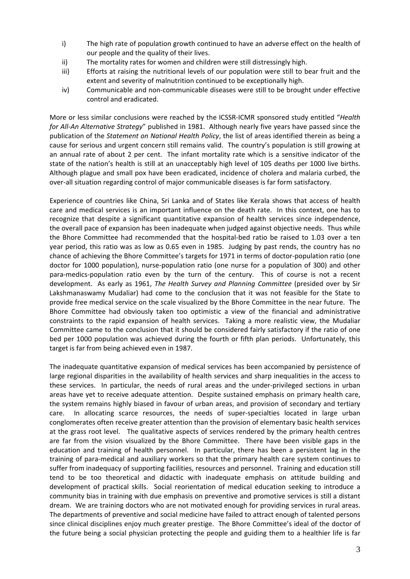- i) The high rate of population growth continued to have an adverse effect on the health of our people and the quality of their lives.
- ii) The mortality rates for women and children were still distressingly high.
- iii) Efforts at raising the nutritional levels of our population were still to bear fruit and the extent and severity of malnutrition continued to be exceptionally high.
- iv) Communicable and non-communicable diseases were still to be brought under effective control and eradicated.

More or less similar conclusions were reached by the ICSSR‐ICMR sponsored study entitled "*Health for All‐An Alternative Strategy*" published in 1981. Although nearly five years have passed since the publication of the *Statement on National Health Policy*, the list of areas identified therein as being a cause for serious and urgent concern still remains valid. The country's population is still growing at an annual rate of about 2 per cent. The infant mortality rate which is a sensitive indicator of the state of the nation's health is still at an unacceptably high level of 105 deaths per 1000 live births. Although plague and small pox have been eradicated, incidence of cholera and malaria curbed, the over‐all situation regarding control of major communicable diseases is far form satisfactory.

Experience of countries like China, Sri Lanka and of States like Kerala shows that access of health care and medical services is an important influence on the death rate. In this context, one has to recognize that despite a significant quantitative expansion of health services since independence, the overall pace of expansion has been inadequate when judged against objective needs. Thus while the Bhore Committee had recommended that the hospital‐bed ratio be raised to 1.03 over a ten year period, this ratio was as low as 0.65 even in 1985. Judging by past rends, the country has no chance of achieving the Bhore Committee's targets for 1971 in terms of doctor‐population ratio (one doctor for 1000 population), nurse‐population ratio (one nurse for a population of 300) and other para-medics-population ratio even by the turn of the century. This of course is not a recent development. As early as 1961, *The Health Survey and Planning Committee* (presided over by Sir Lakshmanaswamy Mudaliar) had come to the conclusion that it was not feasible for the State to provide free medical service on the scale visualized by the Bhore Committee in the near future. The Bhore Committee had obviously taken too optimistic a view of the financial and administrative constraints to the rapid expansion of health services. Taking a more realistic view, the Mudaliar Committee came to the conclusion that it should be considered fairly satisfactory if the ratio of one bed per 1000 population was achieved during the fourth or fifth plan periods. Unfortunately, this target is far from being achieved even in 1987.

The inadequate quantitative expansion of medical services has been accompanied by persistence of large regional disparities in the availability of health services and sharp inequalities in the access to these services. In particular, the needs of rural areas and the under-privileged sections in urban areas have yet to receive adequate attention. Despite sustained emphasis on primary health care, the system remains highly biased in favour of urban areas, and provision of secondary and tertiary care. In allocating scarce resources, the needs of super-specialties located in large urban conglomerates often receive greater attention than the provision of elementary basic health services at the grass root level. The qualitative aspects of services rendered by the primary health centres are far from the vision visualized by the Bhore Committee. There have been visible gaps in the education and training of health personnel. In particular, there has been a persistent lag in the training of para‐medical and auxiliary workers so that the primary health care system continues to suffer from inadequacy of supporting facilities, resources and personnel. Training and education still tend to be too theoretical and didactic with inadequate emphasis on attitude building and development of practical skills. Social reorientation of medical education seeking to introduce a community bias in training with due emphasis on preventive and promotive services is still a distant dream. We are training doctors who are not motivated enough for providing services in rural areas. The departments of preventive and social medicine have failed to attract enough of talented persons since clinical disciplines enjoy much greater prestige. The Bhore Committee's ideal of the doctor of the future being a social physician protecting the people and guiding them to a healthier life is far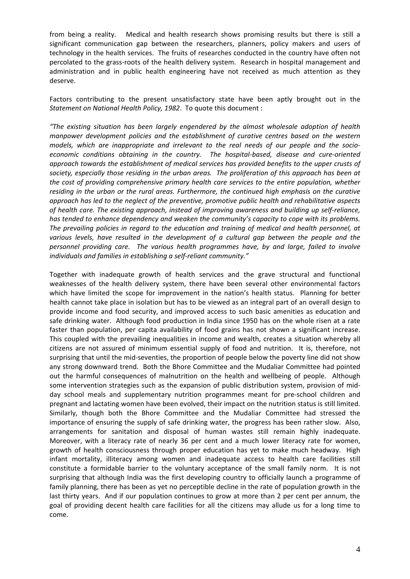from being a reality. Medical and health research shows promising results but there is still a significant communication gap between the researchers, planners, policy makers and users of technology in the health services. The fruits of researches conducted in the country have often not percolated to the grass-roots of the health delivery system. Research in hospital management and administration and in public health engineering have not received as much attention as they deserve.

Factors contributing to the present unsatisfactory state have been aptly brought out in the *Statement on National Health Policy, 1982*. To quote this document :

*"The existing situation has been largely engendered by the almost wholesale adoption of health manpower development policies and the establishment of curative centres based on the western models, which are inappropriate and irrelevant to the real needs of our people and the socio‐ economic conditions obtaining in the country. The hospital‐based, disease and cure‐oriented approach towards the establishment of medical services has provided benefits to the upper crusts of society, especially those residing in the urban areas. The proliferation of this approach has been at the cost of providing comprehensive primary health care services to the entire population, whether residing in the urban or the rural areas. Furthermore, the continued high emphasis on the curative approach has led to the neglect of the preventive, promotive public health and rehabilitative aspects of health care. The existing approach, instead of improving awareness and building up self‐reliance, has tended to enhance dependency and weaken the community's capacity to cope with its problems. The prevailing policies in regard to the education and training of medical and health personnel, at various levels, have resulted in the development of a cultural gap between the people and the personnel providing care. The various health programmes have, by and large, failed to involve individuals and families in establishing a self‐reliant community."*

Together with inadequate growth of health services and the grave structural and functional weaknesses of the health delivery system, there have been several other environmental factors which have limited the scope for improvement in the nation's health status. Planning for better health cannot take place in isolation but has to be viewed as an integral part of an overall design to provide income and food security, and improved access to such basic amenities as education and safe drinking water. Although food production in India since 1950 has on the whole risen at a rate faster than population, per capita availability of food grains has not shown a significant increase. This coupled with the prevailing inequalities in income and wealth, creates a situation whereby all citizens are not assured of minimum essential supply of food and nutrition. It is, therefore, not surprising that until the mid-seventies, the proportion of people below the poverty line did not show any strong downward trend. Both the Bhore Committee and the Mudaliar Committee had pointed out the harmful consequences of malnutrition on the health and wellbeing of people. Although some intervention strategies such as the expansion of public distribution system, provision of midday school meals and supplementary nutrition programmes meant for pre‐school children and pregnant and lactating women have been evolved, their impact on the nutrition status is still limited. Similarly, though both the Bhore Committee and the Mudaliar Committee had stressed the importance of ensuring the supply of safe drinking water, the progress has been rather slow. Also, arrangements for sanitation and disposal of human wastes still remain highly inadequate. Moreover, with a literacy rate of nearly 36 per cent and a much lower literacy rate for women, growth of health consciousness through proper education has yet to make much headway. High infant mortality, illiteracy among women and inadequate access to health care facilities still constitute a formidable barrier to the voluntary acceptance of the small family norm. It is not surprising that although India was the first developing country to officially launch a programme of family planning, there has been as yet no perceptible decline in the rate of population growth in the last thirty years. And if our population continues to grow at more than 2 per cent per annum, the goal of providing decent health care facilities for all the citizens may allude us for a long time to come.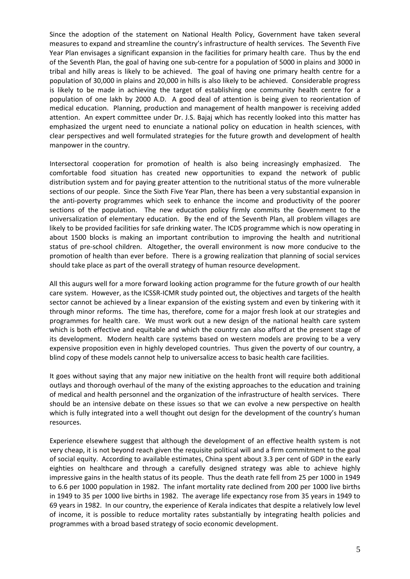Since the adoption of the statement on National Health Policy, Government have taken several measures to expand and streamline the country's infrastructure of health services. The Seventh Five Year Plan envisages a significant expansion in the facilities for primary health care. Thus by the end of the Seventh Plan, the goal of having one sub‐centre for a population of 5000 in plains and 3000 in tribal and hilly areas is likely to be achieved. The goal of having one primary health centre for a population of 30,000 in plains and 20,000 in hills is also likely to be achieved. Considerable progress is likely to be made in achieving the target of establishing one community health centre for a population of one lakh by 2000 A.D. A good deal of attention is being given to reorientation of medical education. Planning, production and management of health manpower is receiving added attention. An expert committee under Dr. J.S. Bajaj which has recently looked into this matter has emphasized the urgent need to enunciate a national policy on education in health sciences, with clear perspectives and well formulated strategies for the future growth and development of health manpower in the country.

Intersectoral cooperation for promotion of health is also being increasingly emphasized. The comfortable food situation has created new opportunities to expand the network of public distribution system and for paying greater attention to the nutritional status of the more vulnerable sections of our people. Since the Sixth Five Year Plan, there has been a very substantial expansion in the anti‐poverty programmes which seek to enhance the income and productivity of the poorer sections of the population. The new education policy firmly commits the Government to the universalization of elementary education. By the end of the Seventh Plan, all problem villages are likely to be provided facilities for safe drinking water. The ICDS programme which is now operating in about 1500 blocks is making an important contribution to improving the health and nutritional status of pre‐school children. Altogether, the overall environment is now more conducive to the promotion of health than ever before. There is a growing realization that planning of social services should take place as part of the overall strategy of human resource development.

All this augurs well for a more forward looking action programme for the future growth of our health care system. However, as the ICSSR‐ICMR study pointed out, the objectives and targets of the health sector cannot be achieved by a linear expansion of the existing system and even by tinkering with it through minor reforms. The time has, therefore, come for a major fresh look at our strategies and programmes for health care. We must work out a new design of the national health care system which is both effective and equitable and which the country can also afford at the present stage of its development. Modern health care systems based on western models are proving to be a very expensive proposition even in highly developed countries. Thus given the poverty of our country, a blind copy of these models cannot help to universalize access to basic health care facilities.

It goes without saying that any major new initiative on the health front will require both additional outlays and thorough overhaul of the many of the existing approaches to the education and training of medical and health personnel and the organization of the infrastructure of health services. There should be an intensive debate on these issues so that we can evolve a new perspective on health which is fully integrated into a well thought out design for the development of the country's human resources.

Experience elsewhere suggest that although the development of an effective health system is not very cheap, it is not beyond reach given the requisite political will and a firm commitment to the goal of social equity. According to available estimates, China spent about 3.3 per cent of GDP in the early eighties on healthcare and through a carefully designed strategy was able to achieve highly impressive gains in the health status of its people. Thus the death rate fell from 25 per 1000 in 1949 to 6.6 per 1000 population in 1982. The infant mortality rate declined from 200 per 1000 live births in 1949 to 35 per 1000 live births in 1982. The average life expectancy rose from 35 years in 1949 to 69 years in 1982. In our country, the experience of Kerala indicates that despite a relatively low level of income, it is possible to reduce mortality rates substantially by integrating health policies and programmes with a broad based strategy of socio economic development.